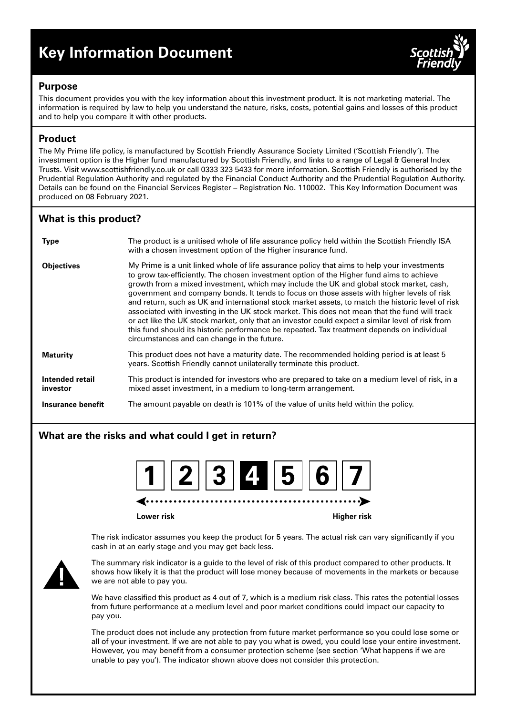# **Key Information Document**



# **Purpose**

This document provides you with the key information about this investment product. It is not marketing material. The information is required by law to help you understand the nature, risks, costs, potential gains and losses of this product and to help you compare it with other products.

# **Product**

The My Prime life policy, is manufactured by Scottish Friendly Assurance Society Limited ('Scottish Friendly'). The investment option is the Higher fund manufactured by Scottish Friendly, and links to a range of Legal & General Index Trusts. Visit www.scottishfriendly.co.uk or call 0333 323 5433 for more information. Scottish Friendly is authorised by the Prudential Regulation Authority and regulated by the Financial Conduct Authority and the Prudential Regulation Authority. Details can be found on the Financial Services Register – Registration No. 110002. This Key Information Document was produced on 08 February 2021.

# **What is this product?**

| <b>Type</b>                 | The product is a unitised whole of life assurance policy held within the Scottish Friendly ISA<br>with a chosen investment option of the Higher insurance fund.                                                                                                                                                                                                                                                                                                                                                                                                                                                                                                                                                                                                                                                                         |
|-----------------------------|-----------------------------------------------------------------------------------------------------------------------------------------------------------------------------------------------------------------------------------------------------------------------------------------------------------------------------------------------------------------------------------------------------------------------------------------------------------------------------------------------------------------------------------------------------------------------------------------------------------------------------------------------------------------------------------------------------------------------------------------------------------------------------------------------------------------------------------------|
| <b>Objectives</b>           | My Prime is a unit linked whole of life assurance policy that aims to help your investments<br>to grow tax-efficiently. The chosen investment option of the Higher fund aims to achieve<br>growth from a mixed investment, which may include the UK and global stock market, cash,<br>government and company bonds. It tends to focus on those assets with higher levels of risk<br>and return, such as UK and international stock market assets, to match the historic level of risk<br>associated with investing in the UK stock market. This does not mean that the fund will track<br>or act like the UK stock market, only that an investor could expect a similar level of risk from<br>this fund should its historic performance be repeated. Tax treatment depends on individual<br>circumstances and can change in the future. |
| <b>Maturity</b>             | This product does not have a maturity date. The recommended holding period is at least 5<br>years. Scottish Friendly cannot unilaterally terminate this product.                                                                                                                                                                                                                                                                                                                                                                                                                                                                                                                                                                                                                                                                        |
| Intended retail<br>investor | This product is intended for investors who are prepared to take on a medium level of risk, in a<br>mixed asset investment, in a medium to long-term arrangement.                                                                                                                                                                                                                                                                                                                                                                                                                                                                                                                                                                                                                                                                        |
| Insurance benefit           | The amount payable on death is 101% of the value of units held within the policy.                                                                                                                                                                                                                                                                                                                                                                                                                                                                                                                                                                                                                                                                                                                                                       |

# **What are the risks and what could I get in return?**

| 1  2  3 2  5  6  7 |
|--------------------|
|--------------------|

**Lower risk Higher risk**

The risk indicator assumes you keep the product for 5 years. The actual risk can vary significantly if you cash in at an early stage and you may get back less.



The summary risk indicator is a guide to the level of risk of this product compared to other products. It shows how likely it is that the product will lose money because of movements in the markets or because we are not able to pay you.

We have classified this product as 4 out of 7, which is a medium risk class. This rates the potential losses from future performance at a medium level and poor market conditions could impact our capacity to pay you.

The product does not include any protection from future market performance so you could lose some or all of your investment. If we are not able to pay you what is owed, you could lose your entire investment. However, you may benefit from a consumer protection scheme (see section 'What happens if we are unable to pay you'). The indicator shown above does not consider this protection.